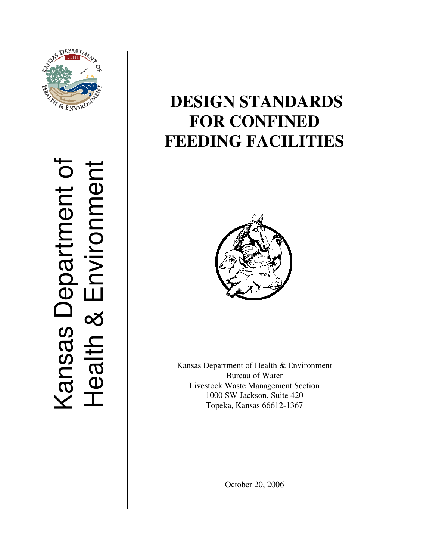

Kansas Department of Kansas Department of<br>Health & Environment Health & Environment

# **DESIGN STANDARDS FOR CONFINED FEEDING FACILITIES**



Kansas Department of Health & Environment Bureau of Water Livestock Waste Management Section 1000 SW Jackson, Suite 420 Topeka, Kansas 66612-1367

October 20, 2006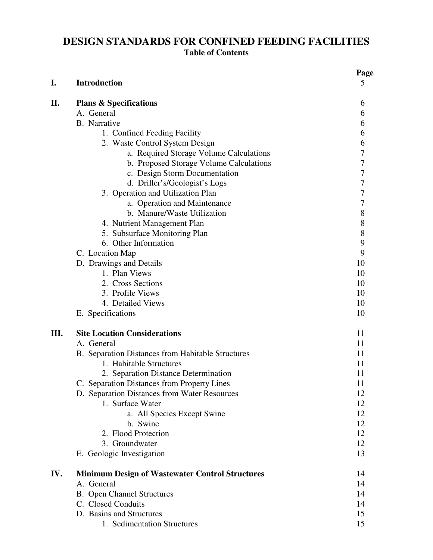# **DESIGN STANDARDS FOR CONFINED FEEDING FACILITIES Table of Contents**

| I.  | <b>Introduction</b>                                    | Page<br>5      |
|-----|--------------------------------------------------------|----------------|
| П.  | <b>Plans &amp; Specifications</b>                      | 6              |
|     | A. General                                             | 6              |
|     | B. Narrative                                           | 6              |
|     | 1. Confined Feeding Facility                           | 6              |
|     | 2. Waste Control System Design                         | 6              |
|     | a. Required Storage Volume Calculations                | 7              |
|     | b. Proposed Storage Volume Calculations                | $\overline{7}$ |
|     | c. Design Storm Documentation                          | 7              |
|     | d. Driller's/Geologist's Logs                          | 7              |
|     | 3. Operation and Utilization Plan                      | $\overline{7}$ |
|     | a. Operation and Maintenance                           | $\overline{7}$ |
|     | b. Manure/Waste Utilization                            | 8              |
|     | 4. Nutrient Management Plan                            | 8              |
|     | 5. Subsurface Monitoring Plan                          | 8              |
|     | 6. Other Information                                   | 9              |
|     | C. Location Map                                        | 9              |
|     | D. Drawings and Details                                | 10             |
|     | 1. Plan Views                                          | 10             |
|     | 2. Cross Sections                                      | 10             |
|     | 3. Profile Views                                       | 10             |
|     | 4. Detailed Views                                      | 10             |
|     | E. Specifications                                      | 10             |
| Ш.  | <b>Site Location Considerations</b>                    | 11             |
|     | A. General                                             | 11             |
|     | B. Separation Distances from Habitable Structures      | 11             |
|     | 1. Habitable Structures                                | 11             |
|     | 2. Separation Distance Determination                   | 11             |
|     | C. Separation Distances from Property Lines            | 11             |
|     | D. Separation Distances from Water Resources           | 12             |
|     | 1. Surface Water                                       | 12             |
|     | a. All Species Except Swine                            | 12             |
|     | b. Swine                                               | 12             |
|     | 2. Flood Protection                                    | 12             |
|     | 3. Groundwater                                         | 12             |
|     | E. Geologic Investigation                              | 13             |
| IV. | <b>Minimum Design of Wastewater Control Structures</b> | 14             |
|     | A. General                                             | 14             |
|     | <b>B.</b> Open Channel Structures                      | 14             |
|     | C. Closed Conduits                                     | 14             |
|     | D. Basins and Structures                               | 15             |
|     | 1. Sedimentation Structures                            | 15             |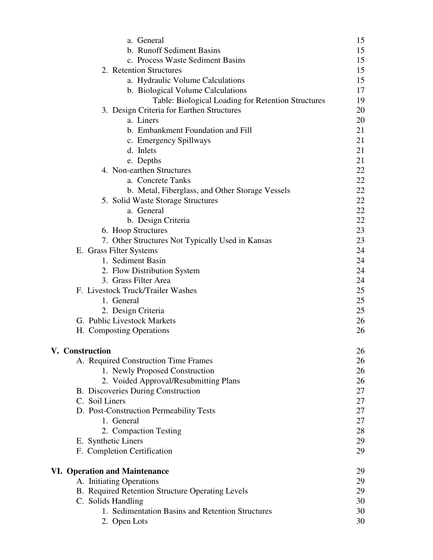| a. General                                         | 15 |
|----------------------------------------------------|----|
| b. Runoff Sediment Basins                          | 15 |
| c. Process Waste Sediment Basins                   | 15 |
| 2. Retention Structures                            | 15 |
| a. Hydraulic Volume Calculations                   | 15 |
| b. Biological Volume Calculations                  | 17 |
| Table: Biological Loading for Retention Structures | 19 |
| 3. Design Criteria for Earthen Structures          | 20 |
| a. Liners                                          | 20 |
| b. Embankment Foundation and Fill                  | 21 |
| c. Emergency Spillways                             | 21 |
| d. Inlets                                          | 21 |
| e. Depths                                          | 21 |
| 4. Non-earthen Structures                          | 22 |
| a. Concrete Tanks                                  | 22 |
| b. Metal, Fiberglass, and Other Storage Vessels    | 22 |
| 5. Solid Waste Storage Structures                  | 22 |
| a. General                                         | 22 |
| b. Design Criteria                                 | 22 |
| 6. Hoop Structures                                 | 23 |
| 7. Other Structures Not Typically Used in Kansas   | 23 |
| E. Grass Filter Systems                            | 24 |
| 1. Sediment Basin                                  | 24 |
| 2. Flow Distribution System                        | 24 |
| 3. Grass Filter Area                               | 24 |
| F. Livestock Truck/Trailer Washes                  | 25 |
| 1. General                                         | 25 |
| 2. Design Criteria                                 | 25 |
| G. Public Livestock Markets                        | 26 |
| H. Composting Operations                           | 26 |
| <b>V.</b> Construction                             | 26 |
| A. Required Construction Time Frames               | 26 |
| 1. Newly Proposed Construction                     | 26 |
| 2. Voided Approval/Resubmitting Plans              | 26 |
| B. Discoveries During Construction                 | 27 |
| C. Soil Liners                                     | 27 |
| D. Post-Construction Permeability Tests            | 27 |
| 1. General                                         | 27 |
| 2. Compaction Testing                              | 28 |
| E. Synthetic Liners                                | 29 |
| F. Completion Certification                        | 29 |
| <b>VI. Operation and Maintenance</b>               | 29 |
| A. Initiating Operations                           | 29 |
| B. Required Retention Structure Operating Levels   | 29 |
| C. Solids Handling                                 | 30 |
| 1. Sedimentation Basins and Retention Structures   | 30 |
| 2. Open Lots                                       | 30 |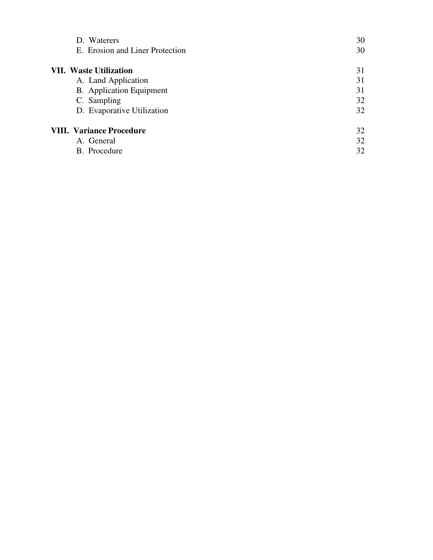| D. Waterers                     | 30 |
|---------------------------------|----|
| E. Erosion and Liner Protection | 30 |
| <b>VII. Waste Utilization</b>   | 31 |
| A. Land Application             | 31 |
| <b>B.</b> Application Equipment | 31 |
| C. Sampling                     | 32 |
| D. Evaporative Utilization      | 32 |
| <b>VIII. Variance Procedure</b> | 32 |
| A. General                      | 32 |
| B. Procedure                    | 32 |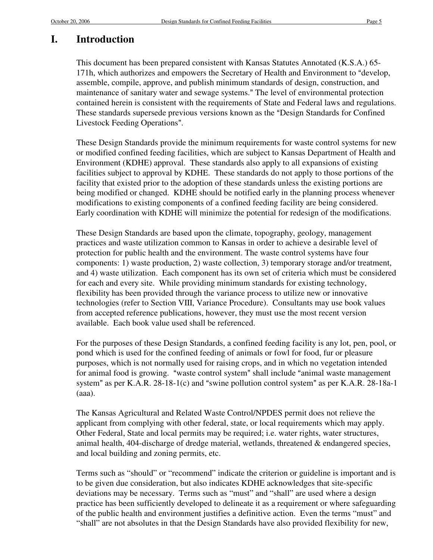# **I. Introduction**

This document has been prepared consistent with Kansas Statutes Annotated (K.S.A.) 65- 171h, which authorizes and empowers the Secretary of Health and Environment to "develop, assemble, compile, approve, and publish minimum standards of design, construction, and maintenance of sanitary water and sewage systems." The level of environmental protection contained herein is consistent with the requirements of State and Federal laws and regulations. These standards supersede previous versions known as the "Design Standards for Confined Livestock Feeding Operations".

These Design Standards provide the minimum requirements for waste control systems for new or modified confined feeding facilities, which are subject to Kansas Department of Health and Environment (KDHE) approval. These standards also apply to all expansions of existing facilities subject to approval by KDHE. These standards do not apply to those portions of the facility that existed prior to the adoption of these standards unless the existing portions are being modified or changed. KDHE should be notified early in the planning process whenever modifications to existing components of a confined feeding facility are being considered. Early coordination with KDHE will minimize the potential for redesign of the modifications.

These Design Standards are based upon the climate, topography, geology, management practices and waste utilization common to Kansas in order to achieve a desirable level of protection for public health and the environment. The waste control systems have four components: 1) waste production, 2) waste collection, 3) temporary storage and/or treatment, and 4) waste utilization. Each component has its own set of criteria which must be considered for each and every site. While providing minimum standards for existing technology, flexibility has been provided through the variance process to utilize new or innovative technologies (refer to Section VIII, Variance Procedure). Consultants may use book values from accepted reference publications, however, they must use the most recent version available. Each book value used shall be referenced.

For the purposes of these Design Standards, a confined feeding facility is any lot, pen, pool, or pond which is used for the confined feeding of animals or fowl for food, fur or pleasure purposes, which is not normally used for raising crops, and in which no vegetation intended for animal food is growing. "waste control system" shall include "animal waste management system" as per K.A.R.  $28-18-1(c)$  and "swine pollution control system" as per K.A.R.  $28-18a-1$ (aaa).

The Kansas Agricultural and Related Waste Control/NPDES permit does not relieve the applicant from complying with other federal, state, or local requirements which may apply. Other Federal, State and local permits may be required; i.e. water rights, water structures, animal health, 404-discharge of dredge material, wetlands, threatened & endangered species, and local building and zoning permits, etc.

Terms such as "should" or "recommend" indicate the criterion or guideline is important and is to be given due consideration, but also indicates KDHE acknowledges that site-specific deviations may be necessary. Terms such as "must" and "shall" are used where a design practice has been sufficiently developed to delineate it as a requirement or where safeguarding of the public health and environment justifies a definitive action. Even the terms "must" and "shall" are not absolutes in that the Design Standards have also provided flexibility for new,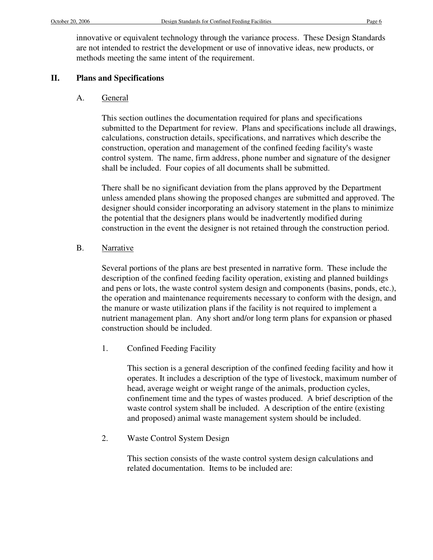innovative or equivalent technology through the variance process. These Design Standards are not intended to restrict the development or use of innovative ideas, new products, or methods meeting the same intent of the requirement.

### **II. Plans and Specifications**

### A. General

This section outlines the documentation required for plans and specifications submitted to the Department for review. Plans and specifications include all drawings, calculations, construction details, specifications, and narratives which describe the construction, operation and management of the confined feeding facility's waste control system. The name, firm address, phone number and signature of the designer shall be included. Four copies of all documents shall be submitted.

There shall be no significant deviation from the plans approved by the Department unless amended plans showing the proposed changes are submitted and approved. The designer should consider incorporating an advisory statement in the plans to minimize the potential that the designers plans would be inadvertently modified during construction in the event the designer is not retained through the construction period.

### B. Narrative

Several portions of the plans are best presented in narrative form. These include the description of the confined feeding facility operation, existing and planned buildings and pens or lots, the waste control system design and components (basins, ponds, etc.), the operation and maintenance requirements necessary to conform with the design, and the manure or waste utilization plans if the facility is not required to implement a nutrient management plan. Any short and/or long term plans for expansion or phased construction should be included.

1. Confined Feeding Facility

This section is a general description of the confined feeding facility and how it operates. It includes a description of the type of livestock, maximum number of head, average weight or weight range of the animals, production cycles, confinement time and the types of wastes produced. A brief description of the waste control system shall be included. A description of the entire (existing and proposed) animal waste management system should be included.

2. Waste Control System Design

This section consists of the waste control system design calculations and related documentation. Items to be included are: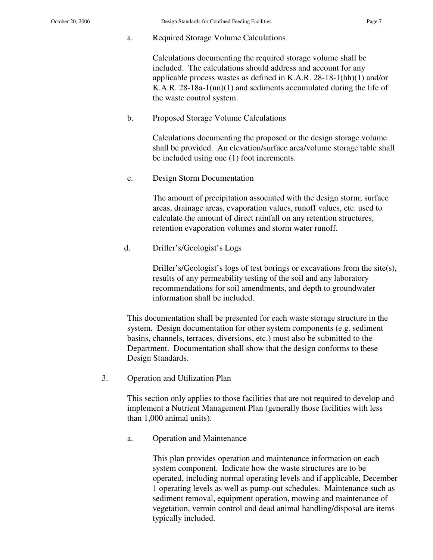a. Required Storage Volume Calculations

Calculations documenting the required storage volume shall be included. The calculations should address and account for any applicable process wastes as defined in K.A.R. 28-18-1(hh)(1) and/or K.A.R. 28-18a-1(nn)(1) and sediments accumulated during the life of the waste control system.

b. Proposed Storage Volume Calculations

Calculations documenting the proposed or the design storage volume shall be provided. An elevation/surface area/volume storage table shall be included using one (1) foot increments.

c. Design Storm Documentation

The amount of precipitation associated with the design storm; surface areas, drainage areas, evaporation values, runoff values, etc. used to calculate the amount of direct rainfall on any retention structures, retention evaporation volumes and storm water runoff.

d. Driller's/Geologist's Logs

Driller's/Geologist's logs of test borings or excavations from the site(s), results of any permeability testing of the soil and any laboratory recommendations for soil amendments, and depth to groundwater information shall be included.

This documentation shall be presented for each waste storage structure in the system. Design documentation for other system components (e.g. sediment basins, channels, terraces, diversions, etc.) must also be submitted to the Department. Documentation shall show that the design conforms to these Design Standards.

3. Operation and Utilization Plan

This section only applies to those facilities that are not required to develop and implement a Nutrient Management Plan (generally those facilities with less than 1,000 animal units).

a. Operation and Maintenance

This plan provides operation and maintenance information on each system component. Indicate how the waste structures are to be operated, including normal operating levels and if applicable, December 1 operating levels as well as pump-out schedules. Maintenance such as sediment removal, equipment operation, mowing and maintenance of vegetation, vermin control and dead animal handling/disposal are items typically included.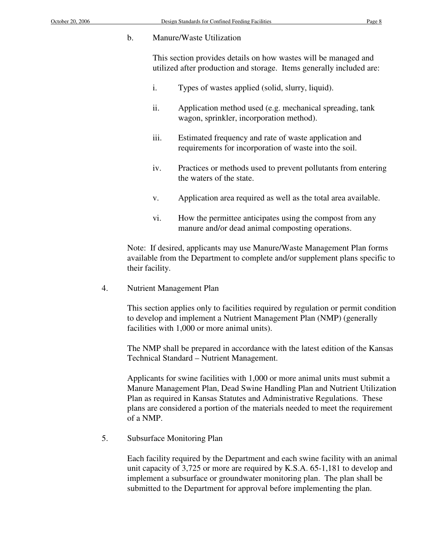#### b. Manure/Waste Utilization

This section provides details on how wastes will be managed and utilized after production and storage. Items generally included are:

- i. Types of wastes applied (solid, slurry, liquid).
- ii. Application method used (e.g. mechanical spreading, tank wagon, sprinkler, incorporation method).
- iii. Estimated frequency and rate of waste application and requirements for incorporation of waste into the soil.
- iv. Practices or methods used to prevent pollutants from entering the waters of the state.
- v. Application area required as well as the total area available.
- vi. How the permittee anticipates using the compost from any manure and/or dead animal composting operations.

Note: If desired, applicants may use Manure/Waste Management Plan forms available from the Department to complete and/or supplement plans specific to their facility.

4. Nutrient Management Plan

This section applies only to facilities required by regulation or permit condition to develop and implement a Nutrient Management Plan (NMP) (generally facilities with 1,000 or more animal units).

The NMP shall be prepared in accordance with the latest edition of the Kansas Technical Standard – Nutrient Management.

Applicants for swine facilities with 1,000 or more animal units must submit a Manure Management Plan, Dead Swine Handling Plan and Nutrient Utilization Plan as required in Kansas Statutes and Administrative Regulations. These plans are considered a portion of the materials needed to meet the requirement of a NMP.

5. Subsurface Monitoring Plan

Each facility required by the Department and each swine facility with an animal unit capacity of 3,725 or more are required by K.S.A. 65-1,181 to develop and implement a subsurface or groundwater monitoring plan. The plan shall be submitted to the Department for approval before implementing the plan.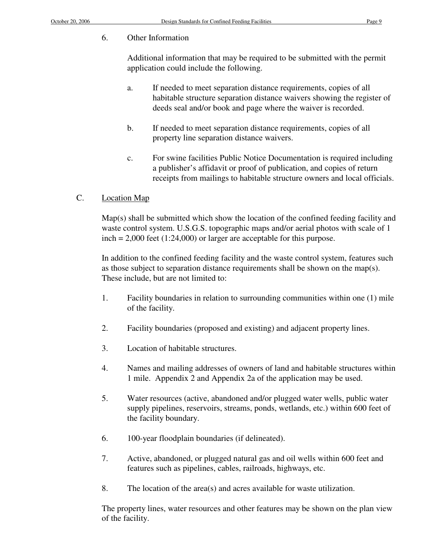# 6. Other Information

Additional information that may be required to be submitted with the permit application could include the following.

- a. If needed to meet separation distance requirements, copies of all habitable structure separation distance waivers showing the register of deeds seal and/or book and page where the waiver is recorded.
- b. If needed to meet separation distance requirements, copies of all property line separation distance waivers.
- c. For swine facilities Public Notice Documentation is required including a publisher's affidavit or proof of publication, and copies of return receipts from mailings to habitable structure owners and local officials.

# C. Location Map

Map(s) shall be submitted which show the location of the confined feeding facility and waste control system. U.S.G.S. topographic maps and/or aerial photos with scale of 1  $inch = 2,000$  feet  $(1:24,000)$  or larger are acceptable for this purpose.

In addition to the confined feeding facility and the waste control system, features such as those subject to separation distance requirements shall be shown on the map(s). These include, but are not limited to:

- 1. Facility boundaries in relation to surrounding communities within one (1) mile of the facility.
- 2. Facility boundaries (proposed and existing) and adjacent property lines.
- 3. Location of habitable structures.
- 4. Names and mailing addresses of owners of land and habitable structures within 1 mile. Appendix 2 and Appendix 2a of the application may be used.
- 5. Water resources (active, abandoned and/or plugged water wells, public water supply pipelines, reservoirs, streams, ponds, wetlands, etc.) within 600 feet of the facility boundary.
- 6. 100-year floodplain boundaries (if delineated).
- 7. Active, abandoned, or plugged natural gas and oil wells within 600 feet and features such as pipelines, cables, railroads, highways, etc.
- 8. The location of the area(s) and acres available for waste utilization.

The property lines, water resources and other features may be shown on the plan view of the facility.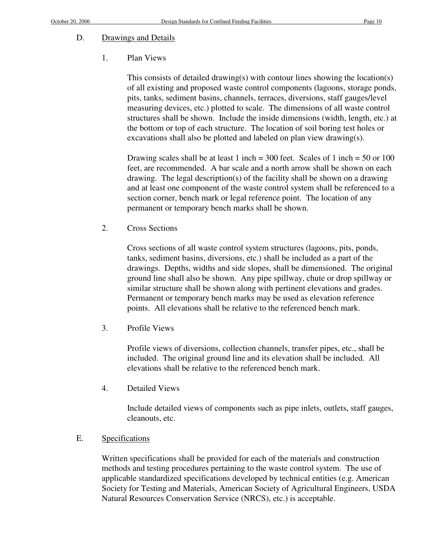# D. Drawings and Details

# 1. Plan Views

This consists of detailed drawing(s) with contour lines showing the location(s) of all existing and proposed waste control components (lagoons, storage ponds, pits, tanks, sediment basins, channels, terraces, diversions, staff gauges/level measuring devices, etc.) plotted to scale. The dimensions of all waste control structures shall be shown. Include the inside dimensions (width, length, etc.) at the bottom or top of each structure. The location of soil boring test holes or excavations shall also be plotted and labeled on plan view drawing(s).

Drawing scales shall be at least 1 inch = 300 feet. Scales of 1 inch = 50 or 100 feet, are recommended. A bar scale and a north arrow shall be shown on each drawing. The legal description(s) of the facility shall be shown on a drawing and at least one component of the waste control system shall be referenced to a section corner, bench mark or legal reference point. The location of any permanent or temporary bench marks shall be shown.

2. Cross Sections

Cross sections of all waste control system structures (lagoons, pits, ponds, tanks, sediment basins, diversions, etc.) shall be included as a part of the drawings. Depths, widths and side slopes, shall be dimensioned. The original ground line shall also be shown. Any pipe spillway, chute or drop spillway or similar structure shall be shown along with pertinent elevations and grades. Permanent or temporary bench marks may be used as elevation reference points. All elevations shall be relative to the referenced bench mark.

3. Profile Views

Profile views of diversions, collection channels, transfer pipes, etc., shall be included. The original ground line and its elevation shall be included. All elevations shall be relative to the referenced bench mark.

4. Detailed Views

Include detailed views of components such as pipe inlets, outlets, staff gauges, cleanouts, etc.

# E. Specifications

Written specifications shall be provided for each of the materials and construction methods and testing procedures pertaining to the waste control system. The use of applicable standardized specifications developed by technical entities (e.g. American Society for Testing and Materials, American Society of Agricultural Engineers, USDA Natural Resources Conservation Service (NRCS), etc.) is acceptable.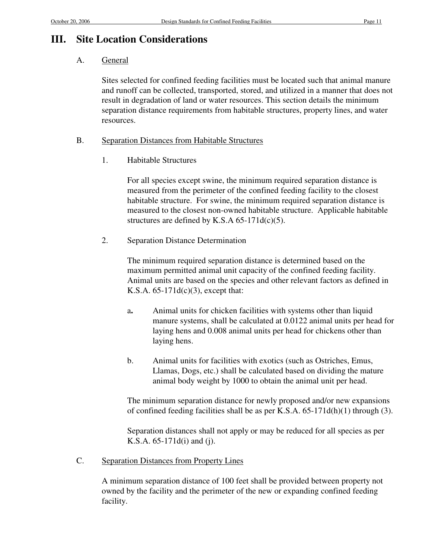# **III. Site Location Considerations**

# A. General

Sites selected for confined feeding facilities must be located such that animal manure and runoff can be collected, transported, stored, and utilized in a manner that does not result in degradation of land or water resources. This section details the minimum separation distance requirements from habitable structures, property lines, and water resources.

### B. Separation Distances from Habitable Structures

1. Habitable Structures

For all species except swine, the minimum required separation distance is measured from the perimeter of the confined feeding facility to the closest habitable structure. For swine, the minimum required separation distance is measured to the closest non-owned habitable structure. Applicable habitable structures are defined by K.S.A  $65-171d(c)(5)$ .

2. Separation Distance Determination

The minimum required separation distance is determined based on the maximum permitted animal unit capacity of the confined feeding facility. Animal units are based on the species and other relevant factors as defined in K.S.A.  $65-171d(c)(3)$ , except that:

- a**.** Animal units for chicken facilities with systems other than liquid manure systems, shall be calculated at 0.0122 animal units per head for laying hens and 0.008 animal units per head for chickens other than laying hens.
- b. Animal units for facilities with exotics (such as Ostriches, Emus, Llamas, Dogs, etc.) shall be calculated based on dividing the mature animal body weight by 1000 to obtain the animal unit per head.

The minimum separation distance for newly proposed and/or new expansions of confined feeding facilities shall be as per K.S.A. 65-171d(h)(1) through (3).

Separation distances shall not apply or may be reduced for all species as per K.S.A. 65-171d(i) and (j).

C. Separation Distances from Property Lines

A minimum separation distance of 100 feet shall be provided between property not owned by the facility and the perimeter of the new or expanding confined feeding facility.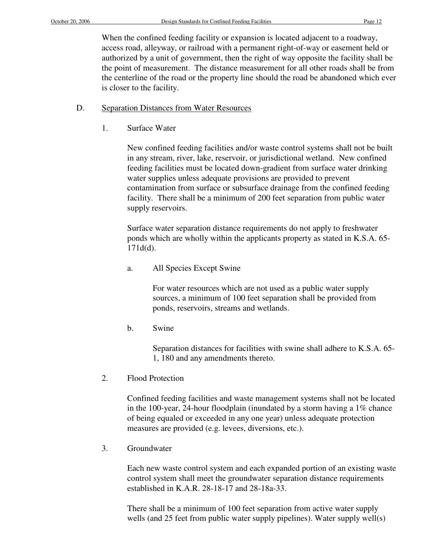When the confined feeding facility or expansion is located adjacent to a roadway, access road, alleyway, or railroad with a permanent right-of-way or easement held or authorized by a unit of government, then the right of way opposite the facility shall be the point of measurement. The distance measurement for all other roads shall be from the centerline of the road or the property line should the road be abandoned which ever is closer to the facility.

### D. Separation Distances from Water Resources

1. Surface Water

New confined feeding facilities and/or waste control systems shall not be built in any stream, river, lake, reservoir, or jurisdictional wetland. New confined feeding facilities must be located down-gradient from surface water drinking water supplies unless adequate provisions are provided to prevent contamination from surface or subsurface drainage from the confined feeding facility. There shall be a minimum of 200 feet separation from public water supply reservoirs.

Surface water separation distance requirements do not apply to freshwater ponds which are wholly within the applicants property as stated in K.S.A. 65- 171d(d).

a. All Species Except Swine

For water resources which are not used as a public water supply sources, a minimum of 100 feet separation shall be provided from ponds, reservoirs, streams and wetlands.

b. Swine

Separation distances for facilities with swine shall adhere to K.S.A. 65- 1, 180 and any amendments thereto.

2. Flood Protection

Confined feeding facilities and waste management systems shall not be located in the 100-year, 24-hour floodplain (inundated by a storm having a 1% chance of being equaled or exceeded in any one year) unless adequate protection measures are provided (e.g. levees, diversions, etc.).

3. Groundwater

Each new waste control system and each expanded portion of an existing waste control system shall meet the groundwater separation distance requirements established in K.A.R. 28-18-17 and 28-18a-33.

There shall be a minimum of 100 feet separation from active water supply wells (and 25 feet from public water supply pipelines). Water supply well(s)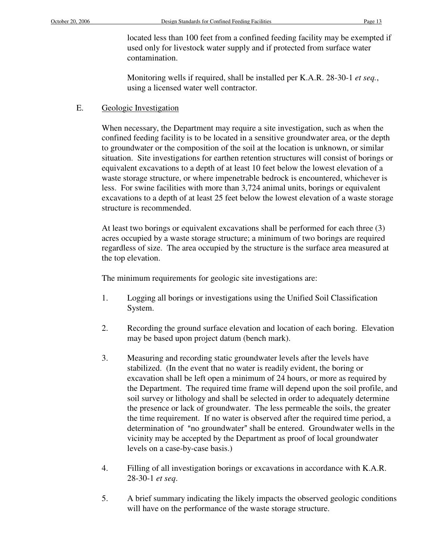located less than 100 feet from a confined feeding facility may be exempted if used only for livestock water supply and if protected from surface water contamination.

 Monitoring wells if required, shall be installed per K.A.R. 28-30-1 *et seq.*, using a licensed water well contractor.

### E. Geologic Investigation

When necessary, the Department may require a site investigation, such as when the confined feeding facility is to be located in a sensitive groundwater area, or the depth to groundwater or the composition of the soil at the location is unknown, or similar situation. Site investigations for earthen retention structures will consist of borings or equivalent excavations to a depth of at least 10 feet below the lowest elevation of a waste storage structure, or where impenetrable bedrock is encountered, whichever is less. For swine facilities with more than 3,724 animal units, borings or equivalent excavations to a depth of at least 25 feet below the lowest elevation of a waste storage structure is recommended.

At least two borings or equivalent excavations shall be performed for each three (3) acres occupied by a waste storage structure; a minimum of two borings are required regardless of size. The area occupied by the structure is the surface area measured at the top elevation.

The minimum requirements for geologic site investigations are:

- 1. Logging all borings or investigations using the Unified Soil Classification System.
- 2. Recording the ground surface elevation and location of each boring. Elevation may be based upon project datum (bench mark).
- 3. Measuring and recording static groundwater levels after the levels have stabilized. (In the event that no water is readily evident, the boring or excavation shall be left open a minimum of 24 hours, or more as required by the Department. The required time frame will depend upon the soil profile, and soil survey or lithology and shall be selected in order to adequately determine the presence or lack of groundwater. The less permeable the soils, the greater the time requirement. If no water is observed after the required time period, a determination of "no groundwater" shall be entered. Groundwater wells in the vicinity may be accepted by the Department as proof of local groundwater levels on a case-by-case basis.)
- 4. Filling of all investigation borings or excavations in accordance with K.A.R. 28-30-1 *et seq*.
- 5. A brief summary indicating the likely impacts the observed geologic conditions will have on the performance of the waste storage structure.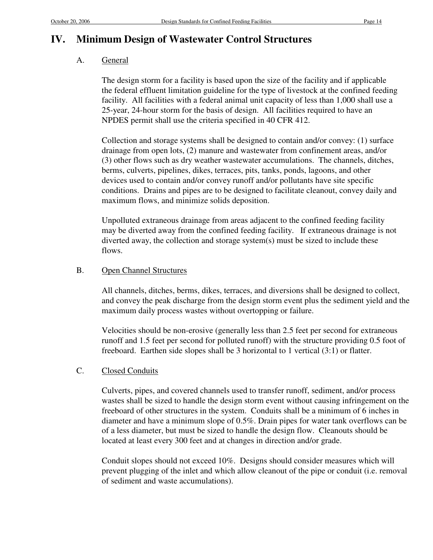# **IV. Minimum Design of Wastewater Control Structures**

# A. General

The design storm for a facility is based upon the size of the facility and if applicable the federal effluent limitation guideline for the type of livestock at the confined feeding facility. All facilities with a federal animal unit capacity of less than 1,000 shall use a 25-year, 24-hour storm for the basis of design. All facilities required to have an NPDES permit shall use the criteria specified in 40 CFR 412.

Collection and storage systems shall be designed to contain and/or convey: (1) surface drainage from open lots, (2) manure and wastewater from confinement areas, and/or (3) other flows such as dry weather wastewater accumulations. The channels, ditches, berms, culverts, pipelines, dikes, terraces, pits, tanks, ponds, lagoons, and other devices used to contain and/or convey runoff and/or pollutants have site specific conditions. Drains and pipes are to be designed to facilitate cleanout, convey daily and maximum flows, and minimize solids deposition.

Unpolluted extraneous drainage from areas adjacent to the confined feeding facility may be diverted away from the confined feeding facility. If extraneous drainage is not diverted away, the collection and storage system(s) must be sized to include these flows.

# B. Open Channel Structures

All channels, ditches, berms, dikes, terraces, and diversions shall be designed to collect, and convey the peak discharge from the design storm event plus the sediment yield and the maximum daily process wastes without overtopping or failure.

Velocities should be non-erosive (generally less than 2.5 feet per second for extraneous runoff and 1.5 feet per second for polluted runoff) with the structure providing 0.5 foot of freeboard. Earthen side slopes shall be 3 horizontal to 1 vertical (3:1) or flatter.

# C. Closed Conduits

Culverts, pipes, and covered channels used to transfer runoff, sediment, and/or process wastes shall be sized to handle the design storm event without causing infringement on the freeboard of other structures in the system. Conduits shall be a minimum of 6 inches in diameter and have a minimum slope of 0.5%. Drain pipes for water tank overflows can be of a less diameter, but must be sized to handle the design flow. Cleanouts should be located at least every 300 feet and at changes in direction and/or grade.

Conduit slopes should not exceed 10%. Designs should consider measures which will prevent plugging of the inlet and which allow cleanout of the pipe or conduit (i.e. removal of sediment and waste accumulations).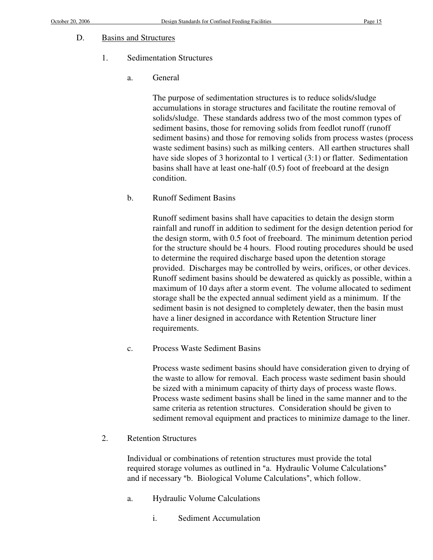#### D. Basins and Structures

### 1. Sedimentation Structures

a. General

The purpose of sedimentation structures is to reduce solids/sludge accumulations in storage structures and facilitate the routine removal of solids/sludge. These standards address two of the most common types of sediment basins, those for removing solids from feedlot runoff (runoff sediment basins) and those for removing solids from process wastes (process waste sediment basins) such as milking centers. All earthen structures shall have side slopes of 3 horizontal to 1 vertical (3:1) or flatter. Sedimentation basins shall have at least one-half (0.5) foot of freeboard at the design condition.

b. Runoff Sediment Basins

Runoff sediment basins shall have capacities to detain the design storm rainfall and runoff in addition to sediment for the design detention period for the design storm, with 0.5 foot of freeboard. The minimum detention period for the structure should be 4 hours. Flood routing procedures should be used to determine the required discharge based upon the detention storage provided. Discharges may be controlled by weirs, orifices, or other devices. Runoff sediment basins should be dewatered as quickly as possible, within a maximum of 10 days after a storm event. The volume allocated to sediment storage shall be the expected annual sediment yield as a minimum. If the sediment basin is not designed to completely dewater, then the basin must have a liner designed in accordance with Retention Structure liner requirements.

c. Process Waste Sediment Basins

Process waste sediment basins should have consideration given to drying of the waste to allow for removal. Each process waste sediment basin should be sized with a minimum capacity of thirty days of process waste flows. Process waste sediment basins shall be lined in the same manner and to the same criteria as retention structures. Consideration should be given to sediment removal equipment and practices to minimize damage to the liner.

2. Retention Structures

Individual or combinations of retention structures must provide the total required storage volumes as outlined in "a. Hydraulic Volume Calculations" and if necessary "b. Biological Volume Calculations", which follow.

- a. Hydraulic Volume Calculations
	- i. Sediment Accumulation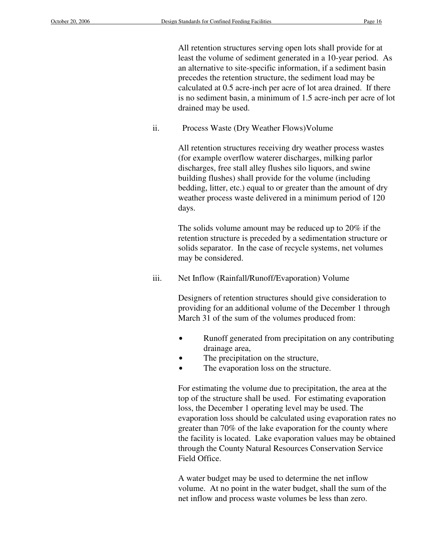All retention structures serving open lots shall provide for at least the volume of sediment generated in a 10-year period. As an alternative to site-specific information, if a sediment basin precedes the retention structure, the sediment load may be calculated at 0.5 acre-inch per acre of lot area drained. If there is no sediment basin, a minimum of 1.5 acre-inch per acre of lot drained may be used.

ii. Process Waste (Dry Weather Flows)Volume

All retention structures receiving dry weather process wastes (for example overflow waterer discharges, milking parlor discharges, free stall alley flushes silo liquors, and swine building flushes) shall provide for the volume (including bedding, litter, etc.) equal to or greater than the amount of dry weather process waste delivered in a minimum period of 120 days.

The solids volume amount may be reduced up to 20% if the retention structure is preceded by a sedimentation structure or solids separator. In the case of recycle systems, net volumes may be considered.

iii. Net Inflow (Rainfall/Runoff/Evaporation) Volume

Designers of retention structures should give consideration to providing for an additional volume of the December 1 through March 31 of the sum of the volumes produced from:

- Runoff generated from precipitation on any contributing drainage area,
- The precipitation on the structure,
- The evaporation loss on the structure.

For estimating the volume due to precipitation, the area at the top of the structure shall be used. For estimating evaporation loss, the December 1 operating level may be used. The evaporation loss should be calculated using evaporation rates no greater than 70% of the lake evaporation for the county where the facility is located. Lake evaporation values may be obtained through the County Natural Resources Conservation Service Field Office.

A water budget may be used to determine the net inflow volume. At no point in the water budget, shall the sum of the net inflow and process waste volumes be less than zero.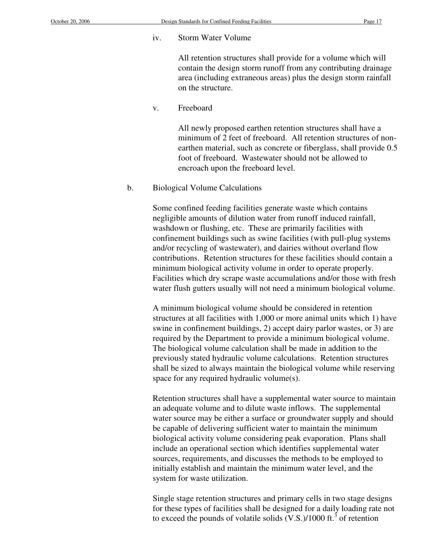#### iv. Storm Water Volume

All retention structures shall provide for a volume which will contain the design storm runoff from any contributing drainage area (including extraneous areas) plus the design storm rainfall on the structure.

v. Freeboard

All newly proposed earthen retention structures shall have a minimum of 2 feet of freeboard. All retention structures of nonearthen material, such as concrete or fiberglass, shall provide 0.5 foot of freeboard. Wastewater should not be allowed to encroach upon the freeboard level.

b. Biological Volume Calculations

Some confined feeding facilities generate waste which contains negligible amounts of dilution water from runoff induced rainfall, washdown or flushing, etc. These are primarily facilities with confinement buildings such as swine facilities (with pull-plug systems and/or recycling of wastewater), and dairies without overland flow contributions. Retention structures for these facilities should contain a minimum biological activity volume in order to operate properly. Facilities which dry scrape waste accumulations and/or those with fresh water flush gutters usually will not need a minimum biological volume.

A minimum biological volume should be considered in retention structures at all facilities with 1,000 or more animal units which 1) have swine in confinement buildings, 2) accept dairy parlor wastes, or 3) are required by the Department to provide a minimum biological volume. The biological volume calculation shall be made in addition to the previously stated hydraulic volume calculations. Retention structures shall be sized to always maintain the biological volume while reserving space for any required hydraulic volume(s).

Retention structures shall have a supplemental water source to maintain an adequate volume and to dilute waste inflows. The supplemental water source may be either a surface or groundwater supply and should be capable of delivering sufficient water to maintain the minimum biological activity volume considering peak evaporation. Plans shall include an operational section which identifies supplemental water sources, requirements, and discusses the methods to be employed to initially establish and maintain the minimum water level, and the system for waste utilization.

Single stage retention structures and primary cells in two stage designs for these types of facilities shall be designed for a daily loading rate not to exceed the pounds of volatile solids  $(V.S.)/1000$  ft.<sup>3</sup> of retention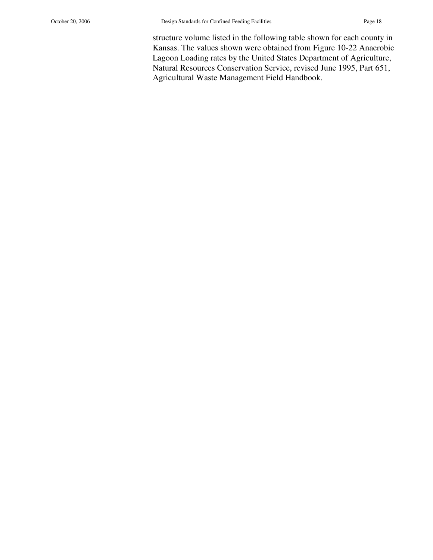structure volume listed in the following table shown for each county in Kansas. The values shown were obtained from Figure 10-22 Anaerobic Lagoon Loading rates by the United States Department of Agriculture, Natural Resources Conservation Service, revised June 1995, Part 651, Agricultural Waste Management Field Handbook.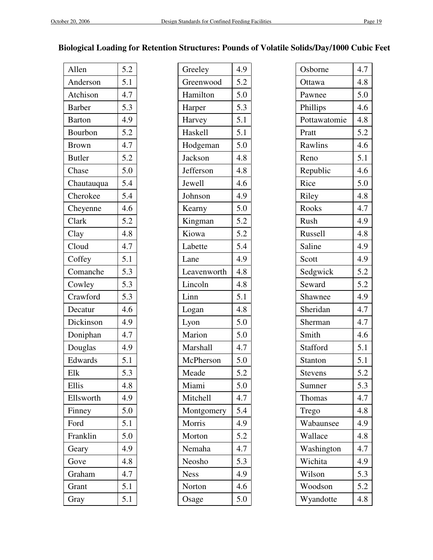# **Biological Loading for Retention Structures: Pounds of Volatile Solids/Day/1000 Cubic Feet**

| Allen         | 5.2 |
|---------------|-----|
| Anderson      | 5.1 |
| Atchison      | 4.7 |
| <b>Barber</b> | 5.3 |
| <b>Barton</b> | 4.9 |
| Bourbon       | 5.2 |
| <b>Brown</b>  | 4.7 |
| <b>Butler</b> | 5.2 |
| Chase         | 5.0 |
| Chautauqua    | 5.4 |
| Cherokee      | 5.4 |
| Cheyenne      | 4.6 |
| Clark         | 5.2 |
| Clay          | 4.8 |
| Cloud         | 4.7 |
| Coffey        | 5.1 |
| Comanche      | 5.3 |
| Cowley        | 5.3 |
| Crawford      | 5.3 |
| Decatur       | 4.6 |
| Dickinson     | 4.9 |
| Doniphan      | 4.7 |
| Douglas       | 4.9 |
| Edwards       | 5.1 |
| Elk           | 5.3 |
| Ellis         | 4.8 |
| Ellsworth     | 4.9 |
| Finney        | 5.0 |
| Ford          | 5.1 |
| Franklin      | 5.0 |
| Geary         | 4.9 |
| Gove          | 4.8 |
| Graham        | 4.7 |
| Grant         | 5.1 |
| Gray          | 5.1 |

| Allen          | 5.2 | Greeley     | 4.9 | Osborne      | 4.7 |
|----------------|-----|-------------|-----|--------------|-----|
| Anderson       | 5.1 | Greenwood   | 5.2 | Ottawa       | 4.8 |
| Atchison       | 4.7 | Hamilton    | 5.0 | Pawnee       | 5.0 |
| <b>Barber</b>  | 5.3 | Harper      | 5.3 | Phillips     | 4.6 |
| <b>Barton</b>  | 4.9 | Harvey      | 5.1 | Pottawatomie | 4.8 |
| <b>Bourbon</b> | 5.2 | Haskell     | 5.1 | Pratt        | 5.2 |
| <b>Brown</b>   | 4.7 | Hodgeman    | 5.0 | Rawlins      | 4.6 |
| <b>Butler</b>  | 5.2 | Jackson     | 4.8 | Reno         | 5.1 |
| Chase          | 5.0 | Jefferson   | 4.8 | Republic     | 4.6 |
| Chautauqua     | 5.4 | Jewell      | 4.6 | Rice         | 5.0 |
| Cherokee       | 5.4 | Johnson     | 4.9 | Riley        | 4.8 |
| Cheyenne       | 4.6 | Kearny      | 5.0 | Rooks        | 4.7 |
| Clark          | 5.2 | Kingman     | 5.2 | Rush         | 4.9 |
| Clay           | 4.8 | Kiowa       | 5.2 | Russell      | 4.8 |
| Cloud          | 4.7 | Labette     | 5.4 | Saline       | 4.9 |
| Coffey         | 5.1 | Lane        | 4.9 | Scott        | 4.9 |
| Comanche       | 5.3 | Leavenworth | 4.8 | Sedgwick     | 5.2 |
| Cowley         | 5.3 | Lincoln     | 4.8 | Seward       | 5.2 |
| Crawford       | 5.3 | Linn        | 5.1 | Shawnee      | 4.9 |
| Decatur        | 4.6 | Logan       | 4.8 | Sheridan     | 4.7 |
| Dickinson      | 4.9 | Lyon        | 5.0 | Sherman      | 4.7 |
| Doniphan       | 4.7 | Marion      | 5.0 | Smith        | 4.6 |
| Douglas        | 4.9 | Marshall    | 4.7 | Stafford     | 5.1 |
| Edwards        | 5.1 | McPherson   | 5.0 | Stanton      | 5.1 |
| Elk            | 5.3 | Meade       | 5.2 | Stevens      | 5.2 |
| Ellis          | 4.8 | Miami       | 5.0 | Sumner       | 5.3 |
| Ellsworth      | 4.9 | Mitchell    | 4.7 | Thomas       | 4.7 |
| Finney         | 5.0 | Montgomery  | 5.4 | Trego        | 4.8 |
| Ford           | 5.1 | Morris      | 4.9 | Wabaunsee    | 4.9 |
| Franklin       | 5.0 | Morton      | 5.2 | Wallace      | 4.8 |
| Geary          | 4.9 | Nemaha      | 4.7 | Washington   | 4.7 |
| Gove           | 4.8 | Neosho      | 5.3 | Wichita      | 4.9 |
| Graham         | 4.7 | <b>Ness</b> | 4.9 | Wilson       | 5.3 |
| Grant          | 5.1 | Norton      | 4.6 | Woodson      | 5.2 |
| Gray           | 5.1 | Osage       | 5.0 | Wyandotte    | 4.8 |

| Osborne        | 4.7 |
|----------------|-----|
| Ottawa         | 4.8 |
| Pawnee         | 5.0 |
| Phillips       | 4.6 |
| Pottawatomie   | 4.8 |
| Pratt          | 5.2 |
| Rawlins        | 4.6 |
| Reno           | 5.1 |
| Republic       | 4.6 |
| Rice           | 5.0 |
| Riley          | 4.8 |
| Rooks          | 4.7 |
| Rush           | 4.9 |
| Russell        | 4.8 |
| Saline         | 4.9 |
| Scott          | 4.9 |
| Sedgwick       | 5.2 |
| Seward         | 5.2 |
| Shawnee        | 4.9 |
| Sheridan       | 4.7 |
| Sherman        | 4.7 |
| Smith          | 4.6 |
| Stafford       | 5.1 |
| <b>Stanton</b> | 5.1 |
| Stevens        | 5.2 |
| Sumner         | 5.3 |
| Thomas         | 4.7 |
| Trego          | 4.8 |
| Wabaunsee      | 4.9 |
| Wallace        | 4.8 |
| Washington     | 4.7 |
| Wichita        | 4.9 |
| Wilson         | 5.3 |
| Woodson        | 5.2 |
| Wyandotte      | 4.8 |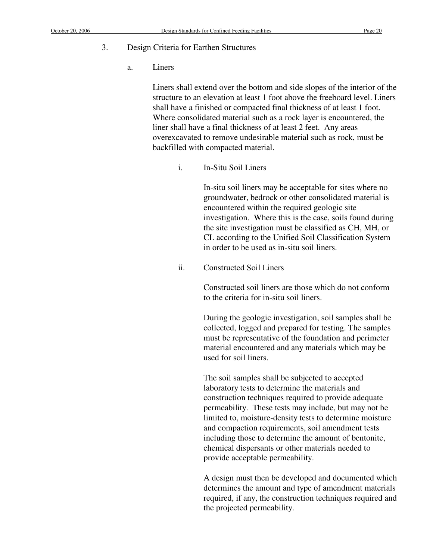a. Liners

Liners shall extend over the bottom and side slopes of the interior of the structure to an elevation at least 1 foot above the freeboard level. Liners shall have a finished or compacted final thickness of at least 1 foot. Where consolidated material such as a rock layer is encountered, the liner shall have a final thickness of at least 2 feet. Any areas overexcavated to remove undesirable material such as rock, must be backfilled with compacted material.

i. In-Situ Soil Liners

In-situ soil liners may be acceptable for sites where no groundwater, bedrock or other consolidated material is encountered within the required geologic site investigation. Where this is the case, soils found during the site investigation must be classified as CH, MH, or CL according to the Unified Soil Classification System in order to be used as in-situ soil liners.

ii. Constructed Soil Liners

Constructed soil liners are those which do not conform to the criteria for in-situ soil liners.

During the geologic investigation, soil samples shall be collected, logged and prepared for testing. The samples must be representative of the foundation and perimeter material encountered and any materials which may be used for soil liners.

The soil samples shall be subjected to accepted laboratory tests to determine the materials and construction techniques required to provide adequate permeability. These tests may include, but may not be limited to, moisture-density tests to determine moisture and compaction requirements, soil amendment tests including those to determine the amount of bentonite, chemical dispersants or other materials needed to provide acceptable permeability.

A design must then be developed and documented which determines the amount and type of amendment materials required, if any, the construction techniques required and the projected permeability.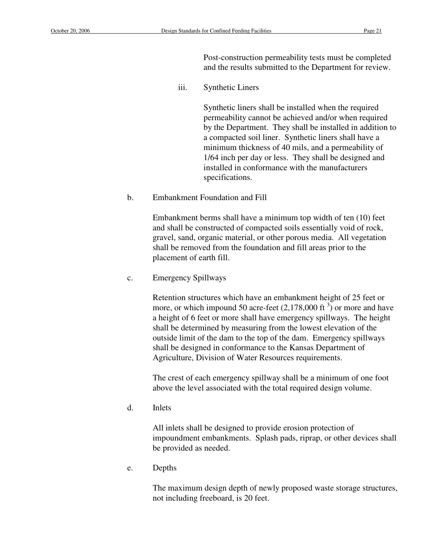Post-construction permeability tests must be completed and the results submitted to the Department for review.

iii. Synthetic Liners

Synthetic liners shall be installed when the required permeability cannot be achieved and/or when required by the Department. They shall be installed in addition to a compacted soil liner. Synthetic liners shall have a minimum thickness of 40 mils, and a permeability of 1/64 inch per day or less. They shall be designed and installed in conformance with the manufacturers specifications.

b. Embankment Foundation and Fill

Embankment berms shall have a minimum top width of ten (10) feet and shall be constructed of compacted soils essentially void of rock, gravel, sand, organic material, or other porous media. All vegetation shall be removed from the foundation and fill areas prior to the placement of earth fill.

c. Emergency Spillways

Retention structures which have an embankment height of 25 feet or more, or which impound 50 acre-feet  $(2,178,000 \text{ ft}^3)$  or more and have a height of 6 feet or more shall have emergency spillways. The height shall be determined by measuring from the lowest elevation of the outside limit of the dam to the top of the dam. Emergency spillways shall be designed in conformance to the Kansas Department of Agriculture, Division of Water Resources requirements.

The crest of each emergency spillway shall be a minimum of one foot above the level associated with the total required design volume.

d. Inlets

All inlets shall be designed to provide erosion protection of impoundment embankments. Splash pads, riprap, or other devices shall be provided as needed.

e. Depths

The maximum design depth of newly proposed waste storage structures, not including freeboard, is 20 feet.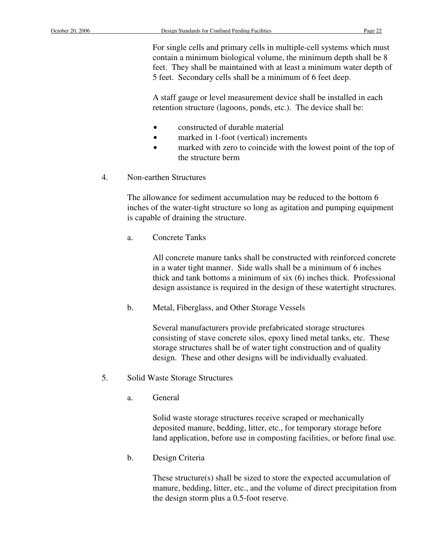For single cells and primary cells in multiple-cell systems which must contain a minimum biological volume, the minimum depth shall be 8 feet. They shall be maintained with at least a minimum water depth of 5 feet. Secondary cells shall be a minimum of 6 feet deep.

A staff gauge or level measurement device shall be installed in each retention structure (lagoons, ponds, etc.). The device shall be:

- constructed of durable material
- marked in 1-foot (vertical) increments
- marked with zero to coincide with the lowest point of the top of the structure berm
- 4. Non-earthen Structures

The allowance for sediment accumulation may be reduced to the bottom 6 inches of the water-tight structure so long as agitation and pumping equipment is capable of draining the structure.

a. Concrete Tanks

All concrete manure tanks shall be constructed with reinforced concrete in a water tight manner. Side walls shall be a minimum of 6 inches thick and tank bottoms a minimum of six (6) inches thick. Professional design assistance is required in the design of these watertight structures.

b. Metal, Fiberglass, and Other Storage Vessels

Several manufacturers provide prefabricated storage structures consisting of stave concrete silos, epoxy lined metal tanks, etc. These storage structures shall be of water tight construction and of quality design. These and other designs will be individually evaluated.

- 5. Solid Waste Storage Structures
	- a. General

Solid waste storage structures receive scraped or mechanically deposited manure, bedding, litter, etc., for temporary storage before land application, before use in composting facilities, or before final use.

b. Design Criteria

 These structure(s) shall be sized to store the expected accumulation of manure, bedding, litter, etc., and the volume of direct precipitation from the design storm plus a 0.5-foot reserve.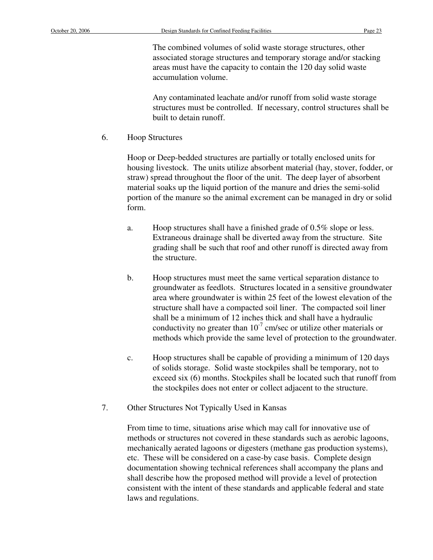The combined volumes of solid waste storage structures, other associated storage structures and temporary storage and/or stacking areas must have the capacity to contain the 120 day solid waste accumulation volume.

Any contaminated leachate and/or runoff from solid waste storage structures must be controlled. If necessary, control structures shall be built to detain runoff.

6. Hoop Structures

Hoop or Deep-bedded structures are partially or totally enclosed units for housing livestock. The units utilize absorbent material (hay, stover, fodder, or straw) spread throughout the floor of the unit. The deep layer of absorbent material soaks up the liquid portion of the manure and dries the semi-solid portion of the manure so the animal excrement can be managed in dry or solid form.

- a. Hoop structures shall have a finished grade of 0.5% slope or less. Extraneous drainage shall be diverted away from the structure. Site grading shall be such that roof and other runoff is directed away from the structure.
- b. Hoop structures must meet the same vertical separation distance to groundwater as feedlots. Structures located in a sensitive groundwater area where groundwater is within 25 feet of the lowest elevation of the structure shall have a compacted soil liner. The compacted soil liner shall be a minimum of 12 inches thick and shall have a hydraulic conductivity no greater than  $10^{-7}$  cm/sec or utilize other materials or methods which provide the same level of protection to the groundwater.
- c. Hoop structures shall be capable of providing a minimum of 120 days of solids storage. Solid waste stockpiles shall be temporary, not to exceed six (6) months. Stockpiles shall be located such that runoff from the stockpiles does not enter or collect adjacent to the structure.
- 7. Other Structures Not Typically Used in Kansas

 From time to time, situations arise which may call for innovative use of methods or structures not covered in these standards such as aerobic lagoons, mechanically aerated lagoons or digesters (methane gas production systems), etc. These will be considered on a case-by case basis. Complete design documentation showing technical references shall accompany the plans and shall describe how the proposed method will provide a level of protection consistent with the intent of these standards and applicable federal and state laws and regulations.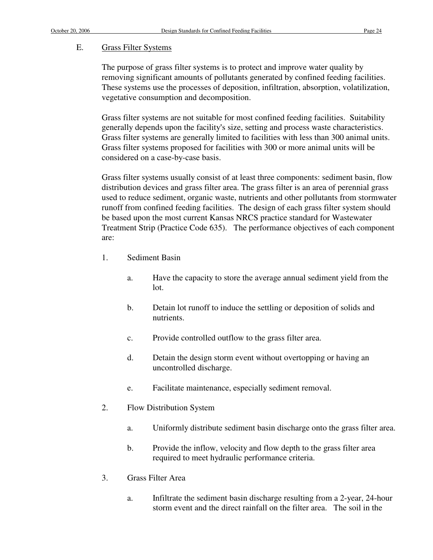#### E. Grass Filter Systems

The purpose of grass filter systems is to protect and improve water quality by removing significant amounts of pollutants generated by confined feeding facilities. These systems use the processes of deposition, infiltration, absorption, volatilization, vegetative consumption and decomposition.

Grass filter systems are not suitable for most confined feeding facilities. Suitability generally depends upon the facility's size, setting and process waste characteristics. Grass filter systems are generally limited to facilities with less than 300 animal units. Grass filter systems proposed for facilities with 300 or more animal units will be considered on a case-by-case basis.

Grass filter systems usually consist of at least three components: sediment basin, flow distribution devices and grass filter area. The grass filter is an area of perennial grass used to reduce sediment, organic waste, nutrients and other pollutants from stormwater runoff from confined feeding facilities. The design of each grass filter system should be based upon the most current Kansas NRCS practice standard for Wastewater Treatment Strip (Practice Code 635). The performance objectives of each component are:

- 1. Sediment Basin
	- a. Have the capacity to store the average annual sediment yield from the lot.
	- b. Detain lot runoff to induce the settling or deposition of solids and nutrients.
	- c. Provide controlled outflow to the grass filter area.
	- d. Detain the design storm event without overtopping or having an uncontrolled discharge.
	- e. Facilitate maintenance, especially sediment removal.
- 2. Flow Distribution System
	- a. Uniformly distribute sediment basin discharge onto the grass filter area.
	- b. Provide the inflow, velocity and flow depth to the grass filter area required to meet hydraulic performance criteria.
- 3. Grass Filter Area
	- a. Infiltrate the sediment basin discharge resulting from a 2-year, 24-hour storm event and the direct rainfall on the filter area. The soil in the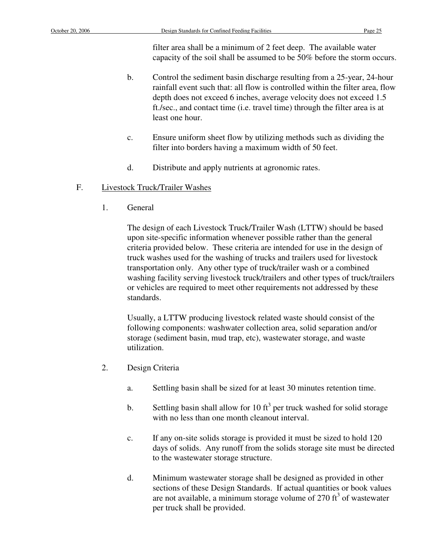filter area shall be a minimum of 2 feet deep. The available water capacity of the soil shall be assumed to be 50% before the storm occurs.

- b. Control the sediment basin discharge resulting from a 25-year, 24-hour rainfall event such that: all flow is controlled within the filter area, flow depth does not exceed 6 inches, average velocity does not exceed 1.5 ft./sec., and contact time (i.e. travel time) through the filter area is at least one hour.
- c. Ensure uniform sheet flow by utilizing methods such as dividing the filter into borders having a maximum width of 50 feet.
- d. Distribute and apply nutrients at agronomic rates.

# F. Livestock Truck/Trailer Washes

1. General

The design of each Livestock Truck/Trailer Wash (LTTW) should be based upon site-specific information whenever possible rather than the general criteria provided below. These criteria are intended for use in the design of truck washes used for the washing of trucks and trailers used for livestock transportation only. Any other type of truck/trailer wash or a combined washing facility serving livestock truck/trailers and other types of truck/trailers or vehicles are required to meet other requirements not addressed by these standards.

Usually, a LTTW producing livestock related waste should consist of the following components: washwater collection area, solid separation and/or storage (sediment basin, mud trap, etc), wastewater storage, and waste utilization.

- 2. Design Criteria
	- a. Settling basin shall be sized for at least 30 minutes retention time.
	- b. Settling basin shall allow for 10 ft<sup>3</sup> per truck washed for solid storage with no less than one month cleanout interval.
	- c. If any on-site solids storage is provided it must be sized to hold 120 days of solids. Any runoff from the solids storage site must be directed to the wastewater storage structure.
	- d. Minimum wastewater storage shall be designed as provided in other sections of these Design Standards. If actual quantities or book values are not available, a minimum storage volume of  $270 \text{ ft}^3$  of wastewater per truck shall be provided.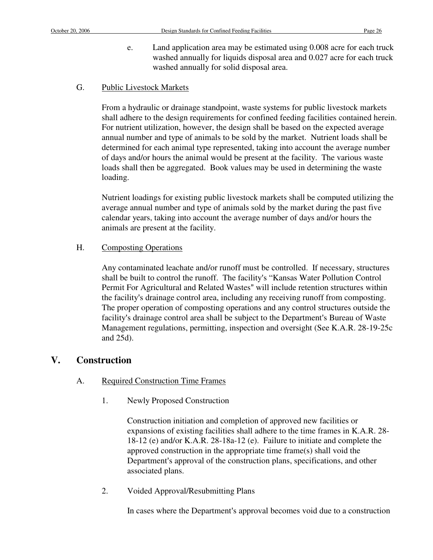e. Land application area may be estimated using 0.008 acre for each truck washed annually for liquids disposal area and 0.027 acre for each truck washed annually for solid disposal area.

### G. Public Livestock Markets

From a hydraulic or drainage standpoint, waste systems for public livestock markets shall adhere to the design requirements for confined feeding facilities contained herein. For nutrient utilization, however, the design shall be based on the expected average annual number and type of animals to be sold by the market. Nutrient loads shall be determined for each animal type represented, taking into account the average number of days and/or hours the animal would be present at the facility. The various waste loads shall then be aggregated. Book values may be used in determining the waste loading.

 Nutrient loadings for existing public livestock markets shall be computed utilizing the average annual number and type of animals sold by the market during the past five calendar years, taking into account the average number of days and/or hours the animals are present at the facility.

### H. Composting Operations

Any contaminated leachate and/or runoff must be controlled. If necessary, structures shall be built to control the runoff. The facility's "Kansas Water Pollution Control Permit For Agricultural and Related Wastes" will include retention structures within the facility's drainage control area, including any receiving runoff from composting. The proper operation of composting operations and any control structures outside the facility's drainage control area shall be subject to the Department's Bureau of Waste Management regulations, permitting, inspection and oversight (See K.A.R. 28-19-25c and 25d).

# **V. Construction**

# A. Required Construction Time Frames

1. Newly Proposed Construction

Construction initiation and completion of approved new facilities or expansions of existing facilities shall adhere to the time frames in K.A.R. 28- 18-12 (e) and/or K.A.R. 28-18a-12 (e). Failure to initiate and complete the approved construction in the appropriate time frame(s) shall void the Department's approval of the construction plans, specifications, and other associated plans.

2. Voided Approval/Resubmitting Plans

In cases where the Department's approval becomes void due to a construction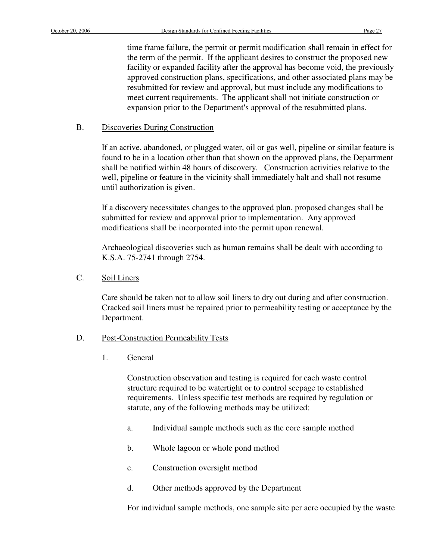time frame failure, the permit or permit modification shall remain in effect for the term of the permit. If the applicant desires to construct the proposed new facility or expanded facility after the approval has become void, the previously approved construction plans, specifications, and other associated plans may be resubmitted for review and approval, but must include any modifications to meet current requirements. The applicant shall not initiate construction or expansion prior to the Department's approval of the resubmitted plans.

### B. Discoveries During Construction

If an active, abandoned, or plugged water, oil or gas well, pipeline or similar feature is found to be in a location other than that shown on the approved plans, the Department shall be notified within 48 hours of discovery. Construction activities relative to the well, pipeline or feature in the vicinity shall immediately halt and shall not resume until authorization is given.

If a discovery necessitates changes to the approved plan, proposed changes shall be submitted for review and approval prior to implementation. Any approved modifications shall be incorporated into the permit upon renewal.

Archaeological discoveries such as human remains shall be dealt with according to K.S.A. 75-2741 through 2754.

C. Soil Liners

Care should be taken not to allow soil liners to dry out during and after construction. Cracked soil liners must be repaired prior to permeability testing or acceptance by the Department.

# D. Post-Construction Permeability Tests

1. General

Construction observation and testing is required for each waste control structure required to be watertight or to control seepage to established requirements. Unless specific test methods are required by regulation or statute, any of the following methods may be utilized:

- a. Individual sample methods such as the core sample method
- b. Whole lagoon or whole pond method
- c. Construction oversight method
- d. Other methods approved by the Department

For individual sample methods, one sample site per acre occupied by the waste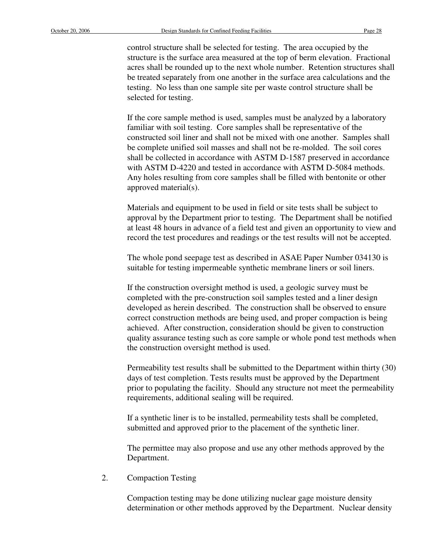control structure shall be selected for testing. The area occupied by the structure is the surface area measured at the top of berm elevation. Fractional acres shall be rounded up to the next whole number. Retention structures shall be treated separately from one another in the surface area calculations and the testing. No less than one sample site per waste control structure shall be selected for testing.

If the core sample method is used, samples must be analyzed by a laboratory familiar with soil testing. Core samples shall be representative of the constructed soil liner and shall not be mixed with one another. Samples shall be complete unified soil masses and shall not be re-molded. The soil cores shall be collected in accordance with ASTM D-1587 preserved in accordance with ASTM D-4220 and tested in accordance with ASTM D-5084 methods. Any holes resulting from core samples shall be filled with bentonite or other approved material(s).

Materials and equipment to be used in field or site tests shall be subject to approval by the Department prior to testing. The Department shall be notified at least 48 hours in advance of a field test and given an opportunity to view and record the test procedures and readings or the test results will not be accepted.

The whole pond seepage test as described in ASAE Paper Number 034130 is suitable for testing impermeable synthetic membrane liners or soil liners.

If the construction oversight method is used, a geologic survey must be completed with the pre-construction soil samples tested and a liner design developed as herein described. The construction shall be observed to ensure correct construction methods are being used, and proper compaction is being achieved. After construction, consideration should be given to construction quality assurance testing such as core sample or whole pond test methods when the construction oversight method is used.

Permeability test results shall be submitted to the Department within thirty (30) days of test completion. Tests results must be approved by the Department prior to populating the facility. Should any structure not meet the permeability requirements, additional sealing will be required.

If a synthetic liner is to be installed, permeability tests shall be completed, submitted and approved prior to the placement of the synthetic liner.

The permittee may also propose and use any other methods approved by the Department.

2. Compaction Testing

Compaction testing may be done utilizing nuclear gage moisture density determination or other methods approved by the Department. Nuclear density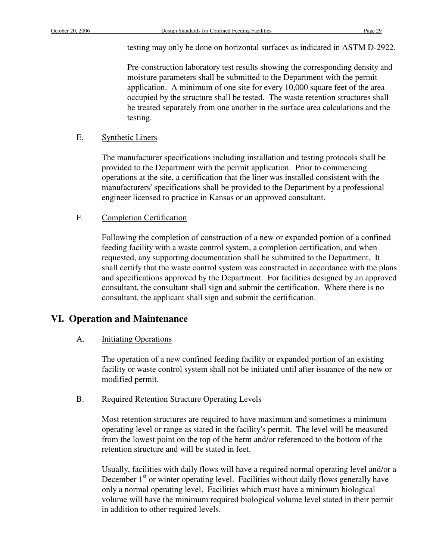testing may only be done on horizontal surfaces as indicated in ASTM D-2922.

Pre-construction laboratory test results showing the corresponding density and moisture parameters shall be submitted to the Department with the permit application. A minimum of one site for every 10,000 square feet of the area occupied by the structure shall be tested. The waste retention structures shall be treated separately from one another in the surface area calculations and the testing.

### E. Synthetic Liners

The manufacturer specifications including installation and testing protocols shall be provided to the Department with the permit application. Prior to commencing operations at the site, a certification that the liner was installed consistent with the manufacturers' specifications shall be provided to the Department by a professional engineer licensed to practice in Kansas or an approved consultant.

### F. Completion Certification

Following the completion of construction of a new or expanded portion of a confined feeding facility with a waste control system, a completion certification, and when requested, any supporting documentation shall be submitted to the Department. It shall certify that the waste control system was constructed in accordance with the plans and specifications approved by the Department. For facilities designed by an approved consultant, the consultant shall sign and submit the certification. Where there is no consultant, the applicant shall sign and submit the certification.

# **VI. Operation and Maintenance**

### A. **Initiating Operations**

The operation of a new confined feeding facility or expanded portion of an existing facility or waste control system shall not be initiated until after issuance of the new or modified permit.

### B. Required Retention Structure Operating Levels

Most retention structures are required to have maximum and sometimes a minimum operating level or range as stated in the facility's permit. The level will be measured from the lowest point on the top of the berm and/or referenced to the bottom of the retention structure and will be stated in feet.

Usually, facilities with daily flows will have a required normal operating level and/or a December  $1<sup>st</sup>$  or winter operating level. Facilities without daily flows generally have only a normal operating level. Facilities which must have a minimum biological volume will have the minimum required biological volume level stated in their permit in addition to other required levels.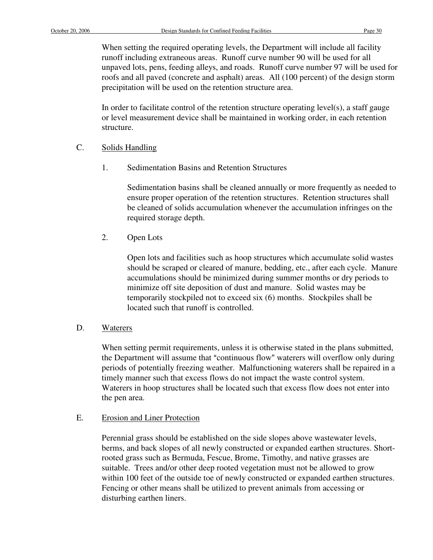When setting the required operating levels, the Department will include all facility runoff including extraneous areas. Runoff curve number 90 will be used for all unpaved lots, pens, feeding alleys, and roads. Runoff curve number 97 will be used for roofs and all paved (concrete and asphalt) areas. All (100 percent) of the design storm precipitation will be used on the retention structure area.

In order to facilitate control of the retention structure operating level(s), a staff gauge or level measurement device shall be maintained in working order, in each retention structure.

- C. Solids Handling
	- 1. Sedimentation Basins and Retention Structures

Sedimentation basins shall be cleaned annually or more frequently as needed to ensure proper operation of the retention structures. Retention structures shall be cleaned of solids accumulation whenever the accumulation infringes on the required storage depth.

2. Open Lots

Open lots and facilities such as hoop structures which accumulate solid wastes should be scraped or cleared of manure, bedding, etc., after each cycle. Manure accumulations should be minimized during summer months or dry periods to minimize off site deposition of dust and manure. Solid wastes may be temporarily stockpiled not to exceed six (6) months. Stockpiles shall be located such that runoff is controlled.

### D. Waterers

When setting permit requirements, unless it is otherwise stated in the plans submitted, the Department will assume that "continuous flow" waterers will overflow only during periods of potentially freezing weather. Malfunctioning waterers shall be repaired in a timely manner such that excess flows do not impact the waste control system. Waterers in hoop structures shall be located such that excess flow does not enter into the pen area.

### E. Erosion and Liner Protection

Perennial grass should be established on the side slopes above wastewater levels, berms, and back slopes of all newly constructed or expanded earthen structures. Shortrooted grass such as Bermuda, Fescue, Brome, Timothy, and native grasses are suitable. Trees and/or other deep rooted vegetation must not be allowed to grow within 100 feet of the outside toe of newly constructed or expanded earthen structures. Fencing or other means shall be utilized to prevent animals from accessing or disturbing earthen liners.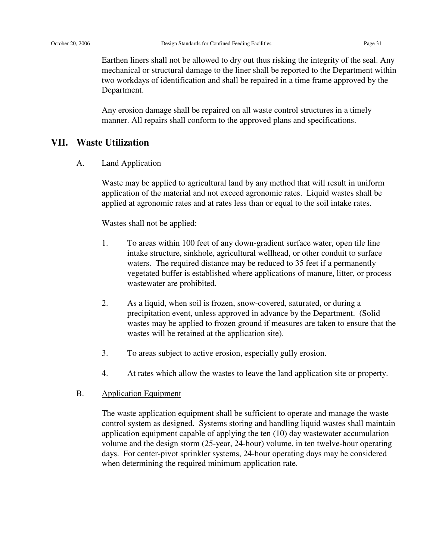Earthen liners shall not be allowed to dry out thus risking the integrity of the seal. Any mechanical or structural damage to the liner shall be reported to the Department within two workdays of identification and shall be repaired in a time frame approved by the Department.

Any erosion damage shall be repaired on all waste control structures in a timely manner. All repairs shall conform to the approved plans and specifications.

### **VII. Waste Utilization**

A. Land Application

Waste may be applied to agricultural land by any method that will result in uniform application of the material and not exceed agronomic rates. Liquid wastes shall be applied at agronomic rates and at rates less than or equal to the soil intake rates.

Wastes shall not be applied:

- 1. To areas within 100 feet of any down-gradient surface water, open tile line intake structure, sinkhole, agricultural wellhead, or other conduit to surface waters. The required distance may be reduced to 35 feet if a permanently vegetated buffer is established where applications of manure, litter, or process wastewater are prohibited.
- 2. As a liquid, when soil is frozen, snow-covered, saturated, or during a precipitation event, unless approved in advance by the Department. (Solid wastes may be applied to frozen ground if measures are taken to ensure that the wastes will be retained at the application site).
- 3. To areas subject to active erosion, especially gully erosion.
- 4. At rates which allow the wastes to leave the land application site or property.

# B. Application Equipment

The waste application equipment shall be sufficient to operate and manage the waste control system as designed. Systems storing and handling liquid wastes shall maintain application equipment capable of applying the ten (10) day wastewater accumulation volume and the design storm (25-year, 24-hour) volume, in ten twelve-hour operating days. For center-pivot sprinkler systems, 24-hour operating days may be considered when determining the required minimum application rate.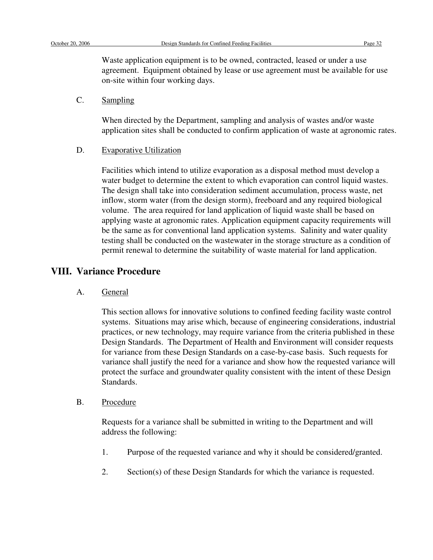Waste application equipment is to be owned, contracted, leased or under a use agreement. Equipment obtained by lease or use agreement must be available for use on-site within four working days.

### C. Sampling

When directed by the Department, sampling and analysis of wastes and/or waste application sites shall be conducted to confirm application of waste at agronomic rates.

### D. Evaporative Utilization

Facilities which intend to utilize evaporation as a disposal method must develop a water budget to determine the extent to which evaporation can control liquid wastes. The design shall take into consideration sediment accumulation, process waste, net inflow, storm water (from the design storm), freeboard and any required biological volume. The area required for land application of liquid waste shall be based on applying waste at agronomic rates. Application equipment capacity requirements will be the same as for conventional land application systems. Salinity and water quality testing shall be conducted on the wastewater in the storage structure as a condition of permit renewal to determine the suitability of waste material for land application.

# **VIII. Variance Procedure**

A. General

This section allows for innovative solutions to confined feeding facility waste control systems. Situations may arise which, because of engineering considerations, industrial practices, or new technology, may require variance from the criteria published in these Design Standards. The Department of Health and Environment will consider requests for variance from these Design Standards on a case-by-case basis. Such requests for variance shall justify the need for a variance and show how the requested variance will protect the surface and groundwater quality consistent with the intent of these Design Standards.

B. Procedure

Requests for a variance shall be submitted in writing to the Department and will address the following:

- 1. Purpose of the requested variance and why it should be considered/granted.
- 2. Section(s) of these Design Standards for which the variance is requested.